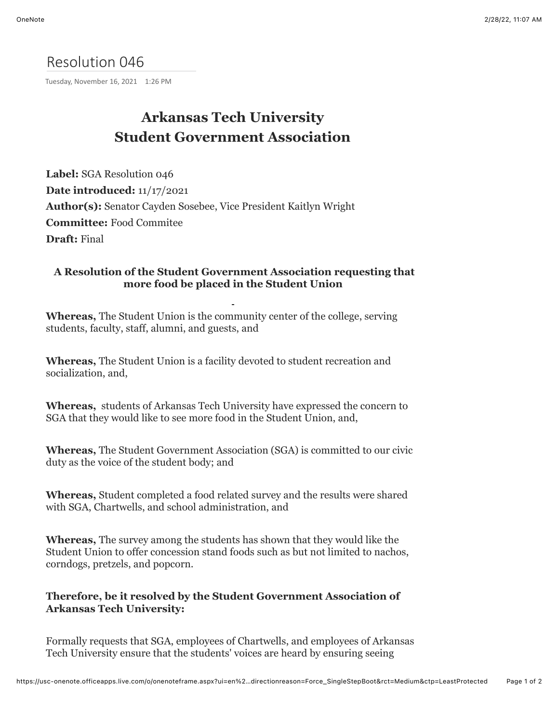## Resolution 046

Tuesday, November 16, 2021 1:26 PM

# **Arkansas Tech University Student Government Association**

**Label:** SGA Resolution 046 **Date introduced:** 11/17/2021 **Author(s):** Senator Cayden Sosebee, Vice President Kaitlyn Wright **Committee:** Food Commitee **Draft:** Final

### **A Resolution of the Student Government Association requesting that more food be placed in the Student Union**

**Whereas,** The Student Union is the community center of the college, serving students, faculty, staff, alumni, and guests, and

**Whereas,** The Student Union is a facility devoted to student recreation and socialization, and,

**Whereas,** students of Arkansas Tech University have expressed the concern to SGA that they would like to see more food in the Student Union, and,

**Whereas,** The Student Government Association (SGA) is committed to our civic duty as the voice of the student body; and

**Whereas,** Student completed a food related survey and the results were shared with SGA, Chartwells, and school administration, and

**Whereas,** The survey among the students has shown that they would like the Student Union to offer concession stand foods such as but not limited to nachos, corndogs, pretzels, and popcorn.

### **Therefore, be it resolved by the Student Government Association of Arkansas Tech University:**

Formally requests that SGA, employees of Chartwells, and employees of Arkansas Tech University ensure that the students' voices are heard by ensuring seeing